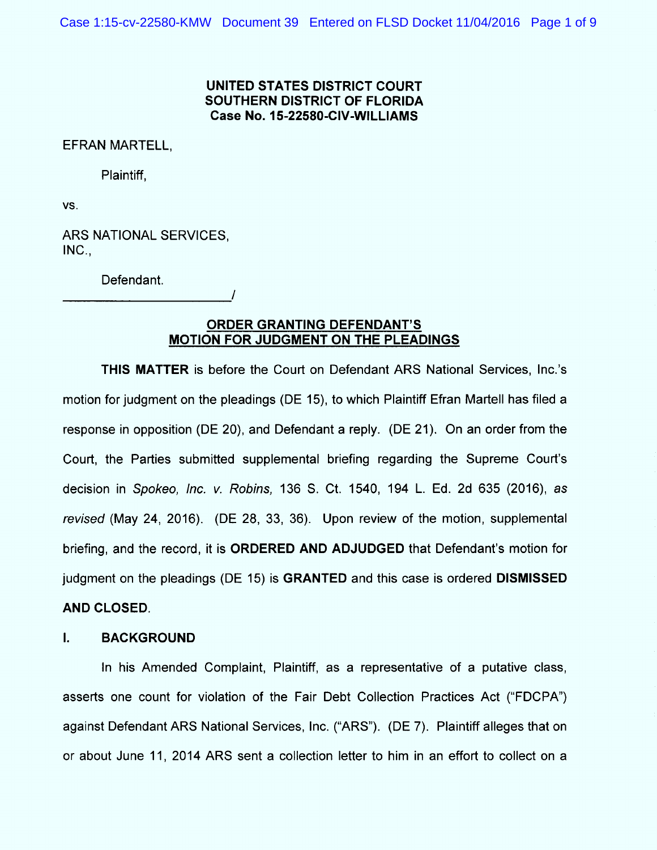# UNITED STATES DISTRICT COURT SOUTHERN DISTRICT OF FLORIDA Case No. 15-22580-CIV-WILLIAMS

EFRAN MARTELL,

Plaintiff,

VS.

ARS NATIONAL SERVICES,  $INC.,$ 

Defendant.

# ORDER GRANTING DEFENDANT'S MOTION FOR JUDGMENT ON THE PLEADINGS

/

THIS MATTER is before the Court on Defendant ARS National Services, Inc.'s motion for judgment on the pleadings (DE 15), to which Plaintiff Efran Martell has filed a response in opposition (DE 20), and Defendant a reply. (DE 21). On an order from the Court, the Parties submitted supplemental briefing regarding the Supreme Court's decision in Spokeo, Inc. v. Robins, 136 S. Ct. 1540, 194 L. Ed. 2d 635 (2016), as revised (May 24, 2016). (DE 28, 33, 36). Upon review of the motion, supplemental briefing, and the record, it is ORDERED AND ADJUDGED that Defendant's m otion for judgment on the pleadings (DE 15) is GRANTED and this case is ordered DISMISSED AND CLOSED.

#### $\mathbf{L}$ BACKGROUND

In his Amended Complaint, Plaintiff, as a representative of a putative class, asserts one count for violation of the Fair Debt Collection Practices Act ("FDCPA") against Defendant ARS National Services, Inc. ("ARS"). (DE 7). Plaintiff alleges that on or about June 11, 2014 ARS sent a collection letter to him in an effort to collect on a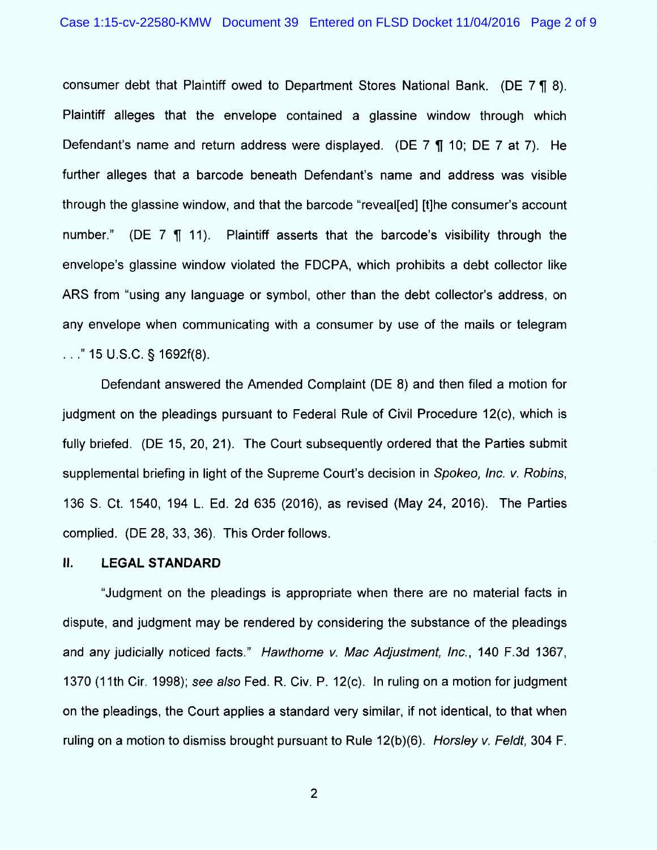consumer debt that Plaintiff owed to Department Stores National Bank. (DE  $7 \text{ } \text{T}$  8). Plaintiff alleges that the envelope contained a glassine window through which Defendant's name and return address were displayed. (DE  $7 \text{ } \text{T}$  10; DE  $7 \text{ }$  at  $7$ ). He further alleges that a barcode beneath Defendant's name and address was visible through the glassine window, and that the barcode "reveal [ed] [t] he consumer's account number." (DE  $7 \text{ } \text{\textdegree{T}}$  11). Plaintiff asserts that the barcode's visibility through the envelope's glassine window violated the FDCPA, which prohibits a debt collector like ARS from "using any language or symbol, other than the debt collector's address, on any envelope when communicating with a consumer by use of the mails or telegram  $\ldots$ ." 15 U.S.C. § 1692f(8).

Defendant answered the Amended Complaint (DE 8) and then filed a motion for judgment on the pleadings pursuant to Federal Rule of Civil Procedure 12(c), which is fully briefed. (DE 15, 20, 21). The Court subsequently ordered that the Parties submit supplemental briefing in light of the Supreme Court's decision in Spokeo, Inc. v. Robins, 1 36 S. Ct. 1540, 194 L. Ed. 2d 635 (2016), as revised (May 24, 2016). The Parties complied. (DE 28, 33, 36). This Order follows.

### lI. LEGAL STANDARD

"Judgment on the pleadings is appropriate when there are no material facts in dispute, and judgment may be rendered by considering the substance of the pleadings and any judicially noticed facts." Hawthorne v. Mac Adjustment, Inc., 140 F.3d 1367, 1370 (11th Cir. 1998); see also Fed. R. Civ. P. 12(c). In ruling on a motion for judgment on the pleadings, the Court applies a standard very similar, if not identical, to that when ruling on a motion to dismiss brought pursuant to Rule  $12(b)(6)$ . Horsley v. Feldt, 304 F.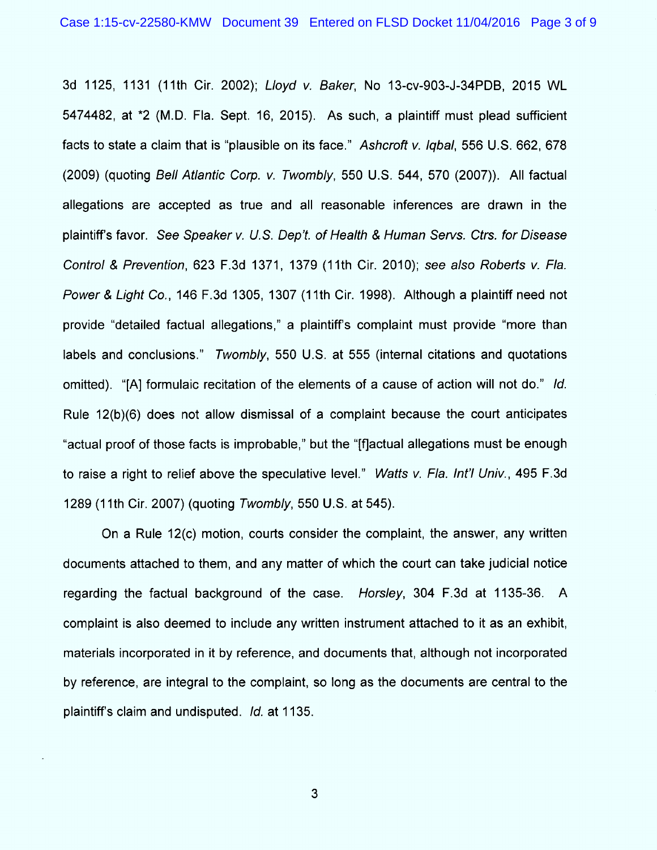3d 1125, 1131 (11th Cir. 2002): Lloyd v. Baker, No 13-cv-903-J-34PDB, 2015 WL 5474482, at \*2 (M.D. Fla. Sept. 16, 2015). As such, a plaintiff must plead sufficient facts to state a claim that is "plausible on its face." Ashcroft  $v$ . Igbal, 556 U.S. 662, 678 (2009) (quoting Bell Atlantic Corp. v. Twombly, 550 U.S. 544, 570 (2007)). AII factual allegations are accepted as true and all reasonable inferences are drawn in the plaintiff's favor. See Speaker v. U.S. Dep't. of Health & Human Servs. Ctrs. for Disease Control & Prevention, 623 F.3d 1371, 1379 (11th Cir. 2010); see also Roberts v. Fla. Power & Light Co., 146 F.3d 1305, 1307 (11th Cir. 1998). Although a plaintiff need not provide "detailed factual allegations," a plaintiff's complaint must provide "more than Iabels and conclusions.'' Twombly, 550 U.S. at 555 (internal citations and quotations omitted). "[A] formulaic recitation of the elements of a cause of action will not do." Id. Rule 12(b)(6) does not allow dismissal of a complaint because the court anticipates "actual proof of those facts is improbable," but the "[f]actual allegations must be enough to raise a right to relief above the speculative level." Watts v. Fla. Int'l Univ., 495 F.3d 1289 (1 1th Cir. 2007) (quoting Twombly, 550 U.S. at 545).

On a Rule 12(c) motion, courts consider the complaint, the answer, any written documents attached to them, and any matter of which the court can take judicial notice regarding the factual background of the case. Horsley, 304 F.3d at 1135-36. A complaint is also deemed to include any written instrument attached to it as an exhibit, materials incorporated in it by reference, and documents that, although not incorporated by reference, are integral to the complaint, so long as the documents are central to the plaintiff's claim and undisputed. Id. at 1135.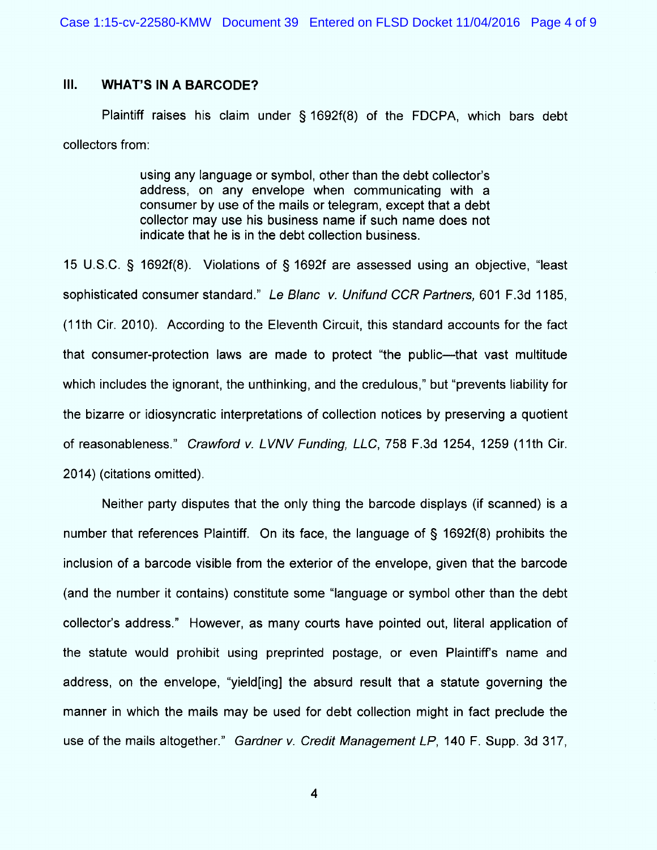# III. WHAT'S IN A BARCODE?

Plaintiff raises his claim under  $\S$  1692f(8) of the FDCPA, which bars debt collectors from:

> using any language or symbol, other than the debt collector's address, on any envelope when communicating with a consumer by use of the mails or telegram, except that a debt collector may use his business name if such name does not indicate that he is in the debt collection business.

15 U.S.C.  $\frac{6}{5}$  1692f(8). Violations of  $\frac{6}{5}$  1692f are assessed using an objective, "least sophisticated consumer standard." Le Blanc v. Unifund CCR Partners, 601 F.3d 1185, (1 1th Cir. 2010). According to the Eleventh Circuit, this standard accounts for the fact that consumer-protection laws are made to protect "the public---that vast multitude which includes the ignorant, the unthinking, and the credulous," but "prevents liability for the bizarre or idiosyncratic interpretations of collection notices by preserving a quotient of reasonableness." Crawford v. LVNV Funding, LLC, 758 F.3d 1254, 1259 (11th Cir. 2014) (citations omitted).

Neither party disputes that the only thing the barcode displays (if scanned) is a number that references Plaintiff. On its face, the language of  $\S$  1692f(8) prohibits the inclusion of a barcode visible from the exterior of the envelope, given that the barcode (and the number it contains) constitute some "language or symbol other than the debt collector's address." However, as many courts have pointed out, literal application of the statute would prohibit using preprinted postage, or even Plaintiff's name and address, on the envelope, "yield [ing] the absurd result that a statute governing the manner in which the mails may be used for debt collection might in fact preclude the use of the mails altogether." Gardner v. Credit Management LP, 140 F. Supp. 3d 317,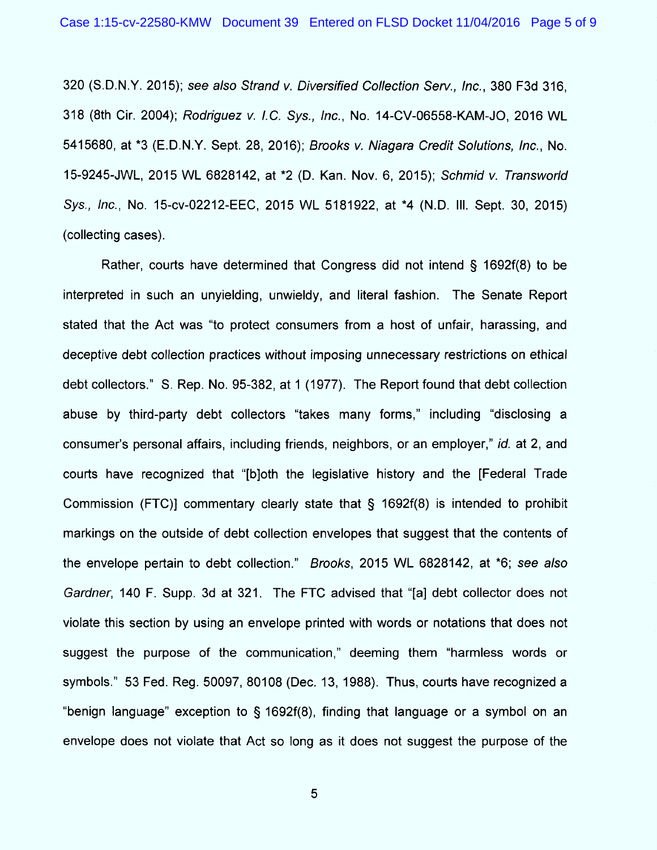320 (S.D.N.Y. 2015); see also Strand v. Diversified Collection Serv., Inc., 380 F3d 316, 318 (8th Cir. 2004); Rodriguez v. I.C. Sys., Inc., No. 14-CV-06558-KAM-JO, 2016 WL 5415680, at \*3 (E.D.N.Y. Sept. 28, 2016); Brooks v. Niagara Credit Solutions, Inc., No. 15-9245-JWL, 2015 WL 6828142, at \*2 (D. Kan. Nov. 6, 2015); Schmid v. Transworld Sys., Inc., No. 15-cv-02212-EEC, 2015 WL 5181922, at \*4 (N.D. III. Sept. 30, 2015) (collecting cases).

Rather, courts have determined that Congress did not intend  $\S$  1692f(8) to be interpreted in such an unyielding, unwieldy, and literal fashion. The Senate Report stated that the Act was "to protect consumers from a host of unfair, harassing, and deceptive debt collection practices without imposing unnecessary restrictions on ethical debt collectors.'' S. Rep. No. 95-382, at 1 (1977). The Report found that debt collection abuse by third-party debt collectors "takes many forms," including "disclosing a consumer's personal affairs, including friends, neighbors, or an employer," id. at 2, and couds have recognized that ''(b)oth the Iegislative history and the (Federal Trade Commission (FTC)] commentary clearly state that  $\S$  1692f(8) is intended to prohibit markings on the outside of debt collection envelopes that suggest that the contents of the envelope pertain to debt collection." Brooks, 2015 WL 6828142, at  $*6$ ; see also Gardner, 140 F. Supp. 3d at 321. The FTC advised that "[a] debt collector does not violate this section by using an envelope printed with words or notations that does not suggest the purpose of the communication," deeming them "harmless words or symbols.'' 53 Fed. Reg. 50097, 80108 (Dec. 13, 1988). Thus, courts have recognized a "benign language" exception to  $\frac{6}{3}$  1692f(8), finding that language or a symbol on an envelope does not violate that Act so long as it does not suggest the purpose of the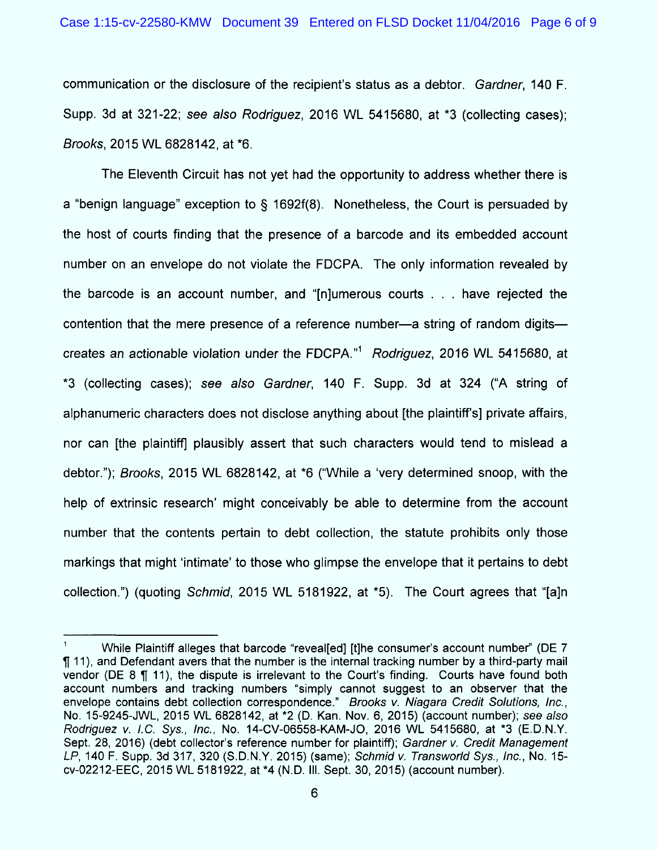communication or the disclosure of the recipient's status as a debtor. Gardner, 140 F. Supp. 3d at 321-22; see also Rodriguez, 2016 WL 5415680, at \*3 (collecting cases); Brooks, 2015 WL 6828142, at \*6.

The Eleventh Circuit has not yet had the opportunity to address whether there is a "benign language" exception to  $\S$  1692f(8). Nonetheless, the Court is persuaded by the host of courts finding that the presence of a barcode and its embedded account number on an envelope do not violate the FDCPA. The only information revealed by the barcode is an account number, and " $[n]$ umerous courts . . . have rejected the contention that the mere presence of a reference number—a string of random digits creates an actionable violation under the FDCPA." $1$  Rodriguez, 2016 WL 5415680, at \*3 (collecting cases); see also Gardner, 140 F. Supp. 3d at 324 ("A string of alphanumeric characters does not disclose anything about [the plaintiff's] private affairs, nor can [the plaintiff] plausibly assert that such characters would tend to mislead a debtor."); Brooks, 2015 WL 6828142, at \*6 ("While a 'very determined snoop, with the help of extrinsic research' might conceivably be able to determine from the account number that the contents pertain to debt collection, the statute prohibits only those markings that might 'intimate' to those who glimpse the envelope that it pertains to debt collection.") (quoting Schmid, 2015 WL 5181922, at \*5). The Court agrees that "[a]n

<sup>&</sup>lt;sup>1</sup> While Plaintiff alleges that barcode "reveal[ed] [t]he consumer's account number" (DE 7  $\P$  11), and Defendant avers that the number is the internal tracking number by a third-party mail vendor (DE 8  $\P$  11), the dispute is irrelevant to the Court's finding. Courts have found both account numbers and tracking numbers "simply cannot suggest to an observer that the envelope contains debt collection correspondence." Brooks v. Niagara Credit Solutions, Inc., No. 15-9245-JWL, 2015 WL 6828142, at \*2 (D. Kan. Nov. 6, 2015) (account number); see also Rodriguez v. I.C. Sys., Inc., No. 14-CV-06558-KAM-JO, 2016 WL 5415680, at \*3 (E.D.N.Y. Sept. 28, 2016) (debt collector's reference number for plaintiff); Gardner v. Credit Management LP, 140 F. Supp. 3d 317, 320 (S.D.N.Y. 2015) (same); Schmid v. Transworld Sys., Inc., No. 15cv-02212-EEC, 2015 WL 5181922, at \*4 (N.D. III. Sept. 30, 2015) (account number).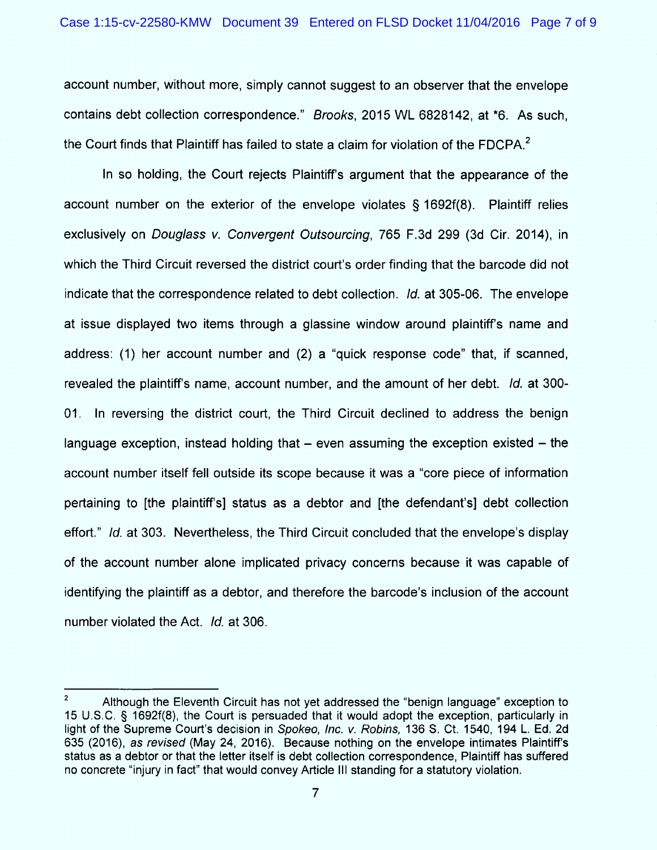account number, without more, simply cannot suggest to an observer that the envelope contains debt collection correspondence." Brooks, 2015 WL 6828142, at \*6. As such, the Court finds that Plaintiff has failed to state a claim for violation of the FDCPA. $^2$ 

In so holding, the Court rejects Plaintiff's argument that the appearance of the account number on the exterior of the envelope violates  $\S$  1692f(8). Plaintiff relies exclusively on Douglass v. Convergent Outsourcing, 765 F.3d 299 (3d Cir. 2014), in which the Third Circuit reversed the district court's order finding that the barcode did not indicate that the correspondence related to debt collection. *Id.* at 305-06. The envelope at issue displayed two items through a glassine window around plaintiff's name and address: (1) her account number and (2) a "quick response code" that, if scanned, revealed the plaintiff's name, account number, and the amount of her debt. Id. at 300-01. In reversing the district court, the Third Circuit declined to address the benign language exception, instead holding that  $-$  even assuming the exception existed  $-$  the account number itself fell outside its scope because it was a "core piece of information pertaining to (the plaintiff's) status as a debtor and (the defendant's) debt collection effort." Id. at 303. Nevertheless, the Third Circuit concluded that the envelope's display of the account num ber alone im plicated privacy concerns because it was capable of identifying the plaintiff as a debtor, and therefore the barcode's inclusion of the account number violated the Act. Id. at 306.

<sup>&</sup>lt;sup>2</sup> Although the Eleventh Circuit has not yet addressed the "benign language" exception to 15 U.S.C. § 1692f(8), the Court is persuaded that it would adopt the exception, particularly in light of the Supreme Court's decision in Spokeo, Inc. v. Robins, 136 S. Ct. 1540, 194 L. Ed. 2d 635 (2016), as revised (May 24, 2016). Because nothing on the envelope intimates Plaintiff's status as a debtor or that the Ietter itself is debt collection correspondence, Plaintiff has suffered no concrete "injury in fact" that would convey Article III standing for a statutory violation.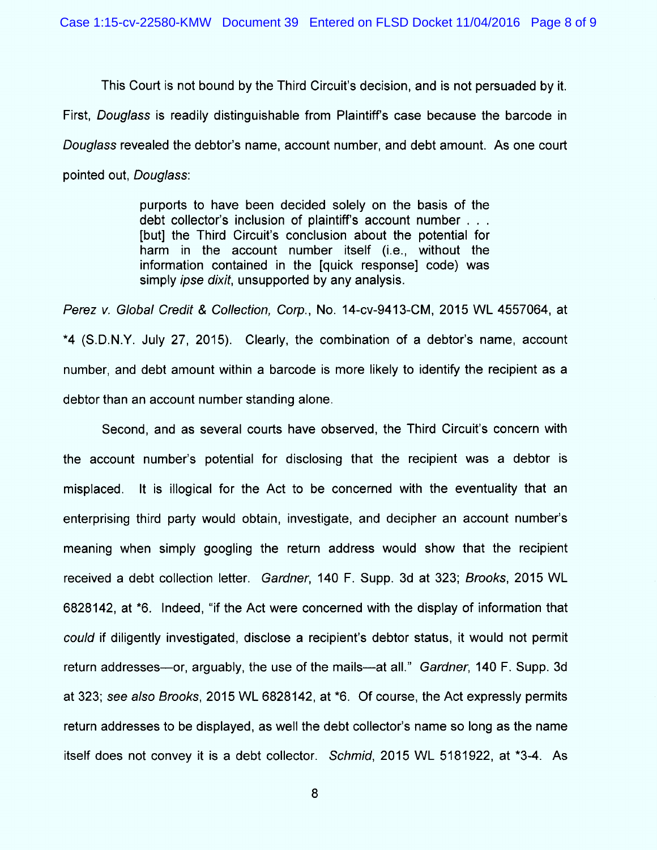This Court is not bound by the Third Circuit's decision, and is not persuaded by it.

First, Douglass is readily distinguishable from Plaintiff's case because the barcode in

Douglass revealed the debtor's name, account number, and debt amount. As one court

pointed out, Douglass:

purports to have been decided solely on the basis of the debt collector's inclusion of plaintiff's account number . . . (but) the Third Circuit's conclusion about the potential for harm in the account number itself (i.e., without the information contained in the (quick response) code) was simply *ipse dixit*, unsupported by any analysis.

Perez v. Global Credit & Collection, Corp., No. 14-cv-9413-CM, 2015 WL 4557064, at \*4 (S.D.N.Y. July 27, 2015). Clearly, the combination of a debtor's name, account number, and debt amount within a barcode is more likely to identify the recipient as a debtor than an account number standing alone.

Second, and as several courts have observed, the Third Circuit's concern with the account num ber's potential for disclosing that the recipient was a debtor is misplaced. It is illogical for the Act to be concerned with the eventuality that an enterprising third party would obtain, investigate, and decipher an account number's meaning when simply googling the return address would show that the recipient received a debt collection letter. Gardner, 140 F. Supp. 3d at 323; Brooks, 2015 WL 6828142, at <sup>\*</sup>6. Indeed, "if the Act were concerned with the display of information that could if diligently investigated, disclose a recipient's debtor status, it would not permit return addresses—or, arguably, the use of the mails—at all." Gardner, 140 F. Supp. 3d at 323; see also Brooks, 2015 WL 6828142, at \*6. Of course, the Act expressly permits return addresses to be displayed, as well the debt collector's name so long as the name itself does not convey it is a debt collector. Schmid, 2015 WL 5181922, at \*3-4. As